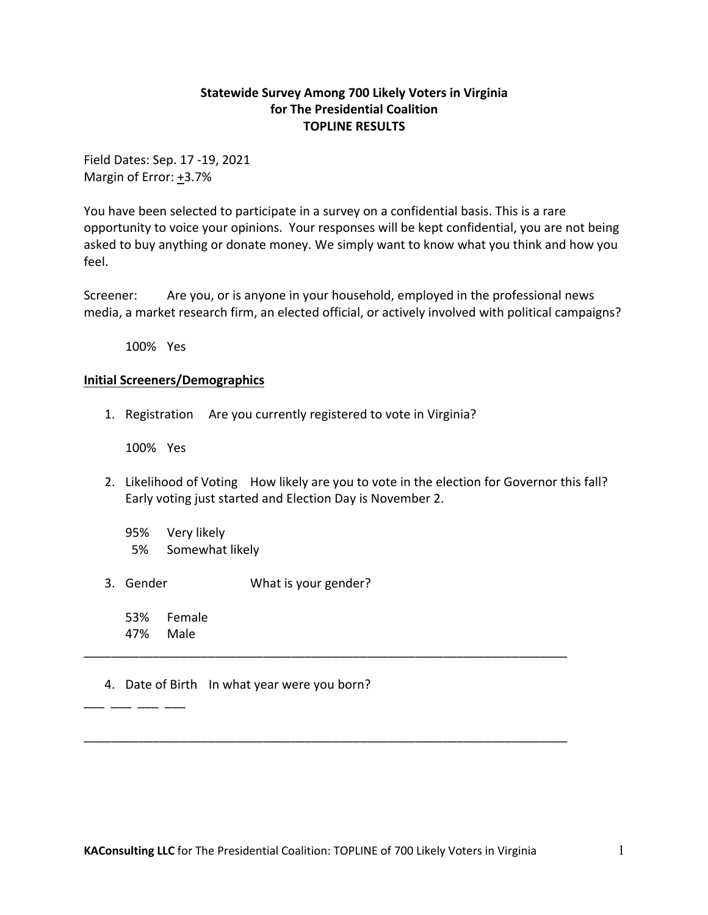## **Statewide Survey Among 700 Likely Voters in Virginia for The Presidential Coalition TOPLINE RESULTS**

Field Dates: Sep. 17 -19, 2021 Margin of Error:  $+3.7%$ 

You have been selected to participate in a survey on a confidential basis. This is a rare opportunity to voice your opinions. Your responses will be kept confidential, you are not being asked to buy anything or donate money. We simply want to know what you think and how you feel.

Screener: Are you, or is anyone in your household, employed in the professional news media, a market research firm, an elected official, or actively involved with political campaigns?

100% Yes

## **Initial Screeners/Demographics**

1. Registration Are you currently registered to vote in Virginia?

100% Yes

- 2. Likelihood of Voting How likely are you to vote in the election for Governor this fall? Early voting just started and Election Day is November 2.
	- 95% Very likely 5% Somewhat likely
- 3. Gender What is your gender?
	- 53% Female 47% Male

\_\_\_<br>\_\_\_\_ \_\_\_ \_\_\_ \_\_\_

## 4. Date of Birth In what year were you born?

\_\_\_\_\_\_\_\_\_\_\_\_\_\_\_\_\_\_\_\_\_\_\_\_\_\_\_\_\_\_\_\_\_\_\_\_\_\_\_\_\_\_\_\_\_\_\_\_\_\_\_\_\_\_\_\_\_\_\_\_\_\_\_\_\_\_\_\_\_\_

\_\_\_\_\_\_\_\_\_\_\_\_\_\_\_\_\_\_\_\_\_\_\_\_\_\_\_\_\_\_\_\_\_\_\_\_\_\_\_\_\_\_\_\_\_\_\_\_\_\_\_\_\_\_\_\_\_\_\_\_\_\_\_\_\_\_\_\_\_\_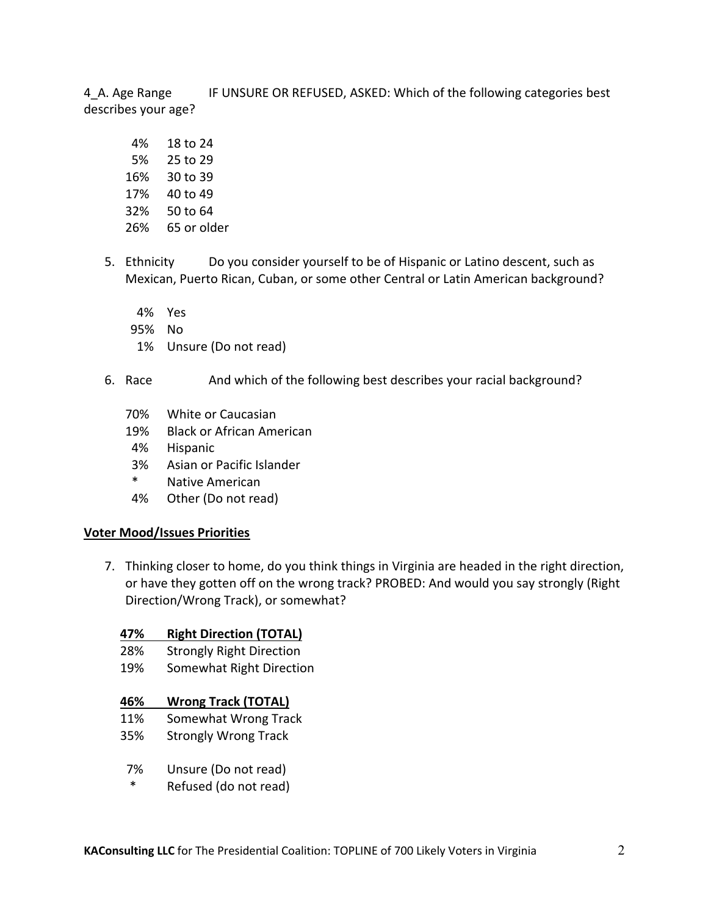4\_A. Age Range IF UNSURE OR REFUSED, ASKED: Which of the following categories best describes your age?

- 4% 18 to 24 5% 25 to 29 16% 30 to 39 17% 40 to 49 32% 50 to 64 26% 65 or older
- 5. Ethnicity Do you consider yourself to be of Hispanic or Latino descent, such as Mexican, Puerto Rican, Cuban, or some other Central or Latin American background?
	- 4% Yes
	- 95% No
	- 1% Unsure (Do not read)
- 6. Race And which of the following best describes your racial background?
	- 70% White or Caucasian
	- 19% Black or African American
	- 4% Hispanic
	- 3% Asian or Pacific Islander
	- \* Native American
	- 4% Other (Do not read)

#### **Voter Mood/Issues Priorities**

7. Thinking closer to home, do you think things in Virginia are headed in the right direction, or have they gotten off on the wrong track? PROBED: And would you say strongly (Right Direction/Wrong Track), or somewhat?

#### **47% Right Direction (TOTAL)**

- 28% Strongly Right Direction
- 19% Somewhat Right Direction

#### **46% Wrong Track (TOTAL)**

- 11% Somewhat Wrong Track
- 35% Strongly Wrong Track
- 7% Unsure (Do not read)
- \* Refused (do not read)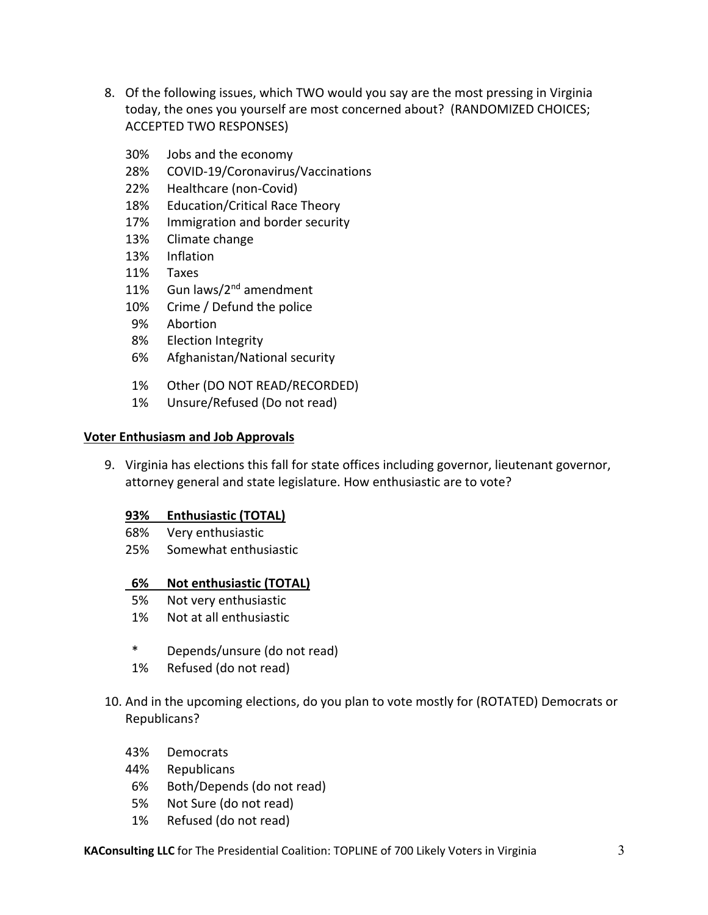- 8. Of the following issues, which TWO would you say are the most pressing in Virginia today, the ones you yourself are most concerned about? (RANDOMIZED CHOICES; ACCEPTED TWO RESPONSES)
	- 30% Jobs and the economy
	- 28% COVID-19/Coronavirus/Vaccinations
	- 22% Healthcare (non-Covid)
	- 18% Education/Critical Race Theory
	- 17% Immigration and border security
	- 13% Climate change
	- 13% Inflation
	- 11% Taxes
	- 11% Gun laws/2<sup>nd</sup> amendment
	- 10% Crime / Defund the police
	- 9% Abortion
	- 8% Election Integrity
	- 6% Afghanistan/National security
	- 1% Other (DO NOT READ/RECORDED)
	- 1% Unsure/Refused (Do not read)

#### **Voter Enthusiasm and Job Approvals**

9. Virginia has elections this fall for state offices including governor, lieutenant governor, attorney general and state legislature. How enthusiastic are to vote?

#### **93% Enthusiastic (TOTAL)**

- 68% Very enthusiastic
- 25% Somewhat enthusiastic

#### **6% Not enthusiastic (TOTAL)**

- 5% Not very enthusiastic
- 1% Not at all enthusiastic
- \* Depends/unsure (do not read)
- 1% Refused (do not read)
- 10. And in the upcoming elections, do you plan to vote mostly for (ROTATED) Democrats or Republicans?
	- 43% Democrats
	- 44% Republicans
	- 6% Both/Depends (do not read)
	- 5% Not Sure (do not read)
	- 1% Refused (do not read)

**KAConsulting LLC** for The Presidential Coalition: TOPLINE of 700 Likely Voters in Virginia 3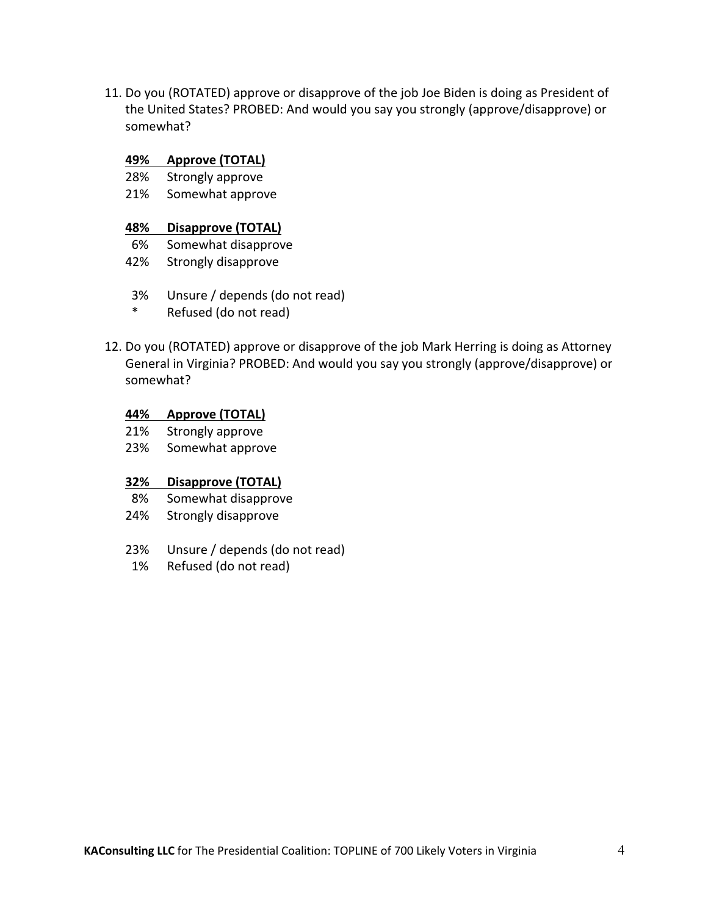11. Do you (ROTATED) approve or disapprove of the job Joe Biden is doing as President of the United States? PROBED: And would you say you strongly (approve/disapprove) or somewhat?

#### **49% Approve (TOTAL)**

- 28% Strongly approve
- 21% Somewhat approve

### **48% Disapprove (TOTAL)**

- 6% Somewhat disapprove
- 42% Strongly disapprove
- 3% Unsure / depends (do not read)
- \* Refused (do not read)
- 12. Do you (ROTATED) approve or disapprove of the job Mark Herring is doing as Attorney General in Virginia? PROBED: And would you say you strongly (approve/disapprove) or somewhat?

#### **44% Approve (TOTAL)**

- 21% Strongly approve
- 23% Somewhat approve

## **32% Disapprove (TOTAL)**

- 8% Somewhat disapprove
- 24% Strongly disapprove
- 23% Unsure / depends (do not read)
- 1% Refused (do not read)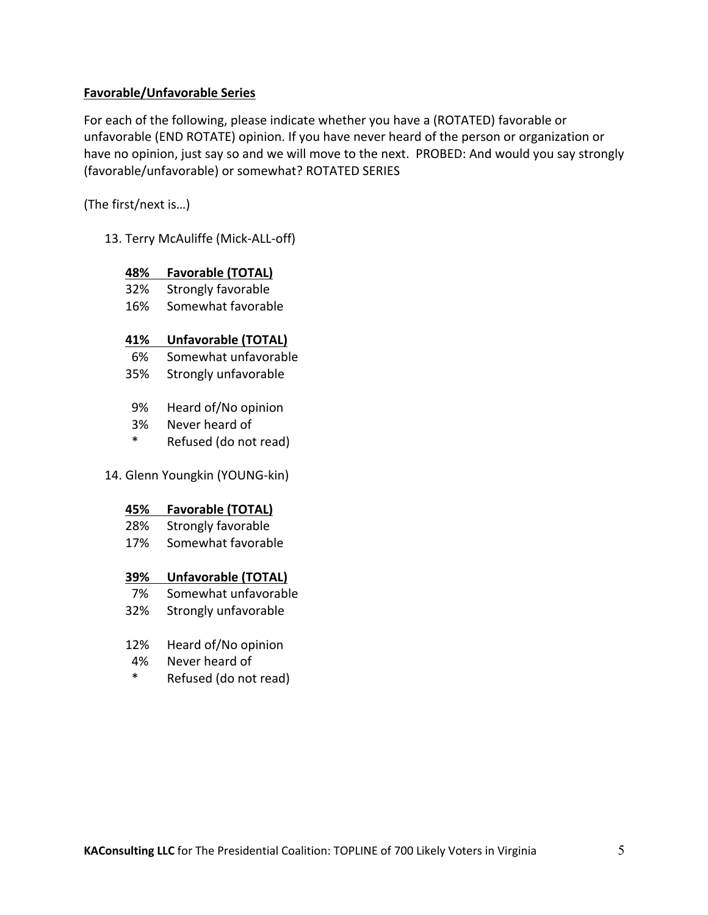## **Favorable/Unfavorable Series**

For each of the following, please indicate whether you have a (ROTATED) favorable or unfavorable (END ROTATE) opinion. If you have never heard of the person or organization or have no opinion, just say so and we will move to the next. PROBED: And would you say strongly (favorable/unfavorable) or somewhat? ROTATED SERIES

(The first/next is…)

13. Terry McAuliffe (Mick-ALL-off)

## **48% Favorable (TOTAL)**

- 32% Strongly favorable
- 16% Somewhat favorable

## **41% Unfavorable (TOTAL)**

- 6% Somewhat unfavorable
- 35% Strongly unfavorable
- 9% Heard of/No opinion
- 3% Never heard of
- \* Refused (do not read)
- 14. Glenn Youngkin (YOUNG-kin)

## **45% Favorable (TOTAL)**

- 28% Strongly favorable
- 17% Somewhat favorable

## **39% Unfavorable (TOTAL)**

- 7% Somewhat unfavorable
- 32% Strongly unfavorable
- 12% Heard of/No opinion
- 4% Never heard of
- \* Refused (do not read)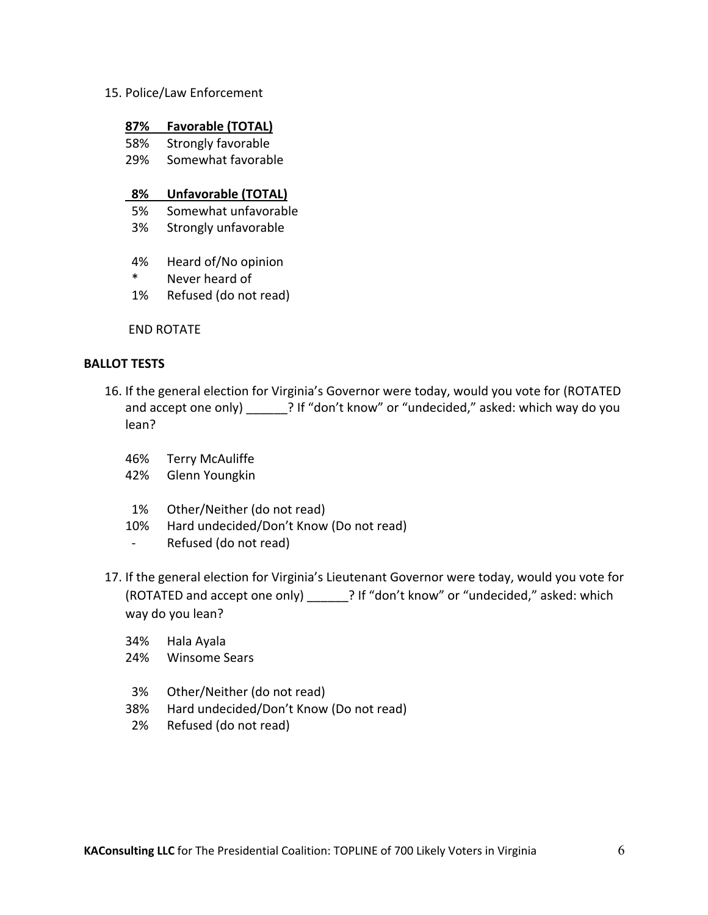15. Police/Law Enforcement

#### **87% Favorable (TOTAL)**

- 58% Strongly favorable
- 29% Somewhat favorable

### **8% Unfavorable (TOTAL)**

- 5% Somewhat unfavorable
- 3% Strongly unfavorable
- 4% Heard of/No opinion
- \* Never heard of
- 1% Refused (do not read)

END ROTATE

#### **BALLOT TESTS**

- 16. If the general election for Virginia's Governor were today, would you vote for (ROTATED and accept one only) <br> **Example 19 and accept one only**  $\cdot$  ? If "don't know" or "undecided," asked: which way do you lean?
	- 46% Terry McAuliffe
	- 42% Glenn Youngkin
	- 1% Other/Neither (do not read)
	- 10% Hard undecided/Don't Know (Do not read)
	- Refused (do not read)
- 17. If the general election for Virginia's Lieutenant Governor were today, would you vote for (ROTATED and accept one only) \_\_\_\_\_\_? If "don't know" or "undecided," asked: which way do you lean?
	- 34% Hala Ayala
	- 24% Winsome Sears
	- 3% Other/Neither (do not read)
	- 38% Hard undecided/Don't Know (Do not read)
	- 2% Refused (do not read)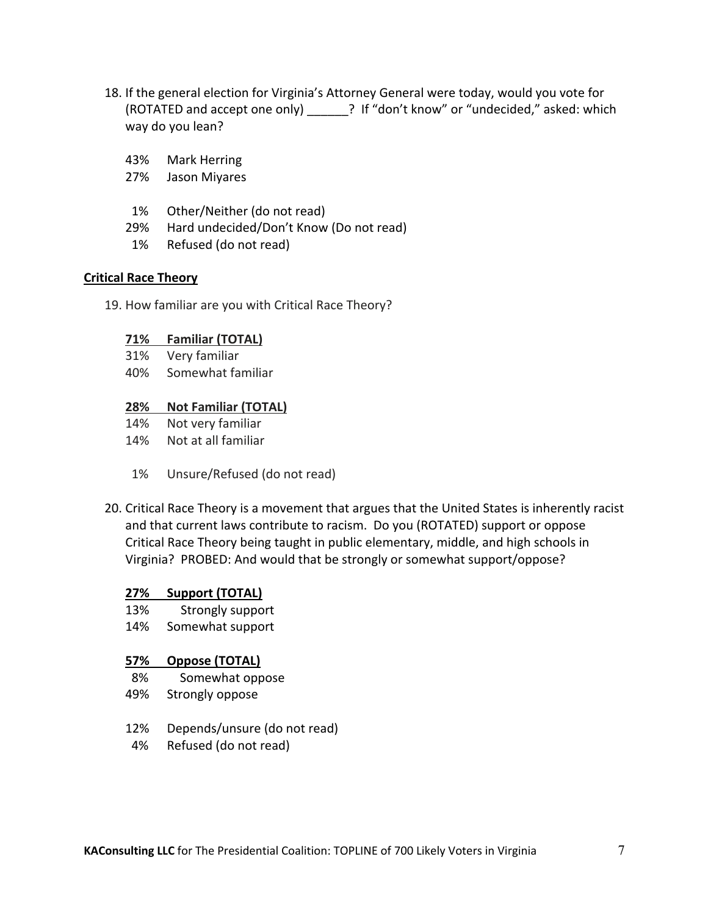- 18. If the general election for Virginia's Attorney General were today, would you vote for (ROTATED and accept one only) \_\_\_\_\_\_? If "don't know" or "undecided," asked: which way do you lean?
	- 43% Mark Herring
	- 27% Jason Miyares
	- 1% Other/Neither (do not read)
	- 29% Hard undecided/Don't Know (Do not read)
	- 1% Refused (do not read)

#### **Critical Race Theory**

19. How familiar are you with Critical Race Theory?

#### **71% Familiar (TOTAL)**

- 31% Very familiar
- 40% Somewhat familiar

### **28% Not Familiar (TOTAL)**

- 14% Not very familiar
- 14% Not at all familiar
- 1% Unsure/Refused (do not read)
- 20. Critical Race Theory is a movement that argues that the United States is inherently racist and that current laws contribute to racism. Do you (ROTATED) support or oppose Critical Race Theory being taught in public elementary, middle, and high schools in Virginia? PROBED: And would that be strongly or somewhat support/oppose?

## **27% Support (TOTAL)**

- 13% Strongly support
- 14% Somewhat support

## **57% Oppose (TOTAL)**

- 8% Somewhat oppose
- 49% Strongly oppose
- 12% Depends/unsure (do not read)
- 4% Refused (do not read)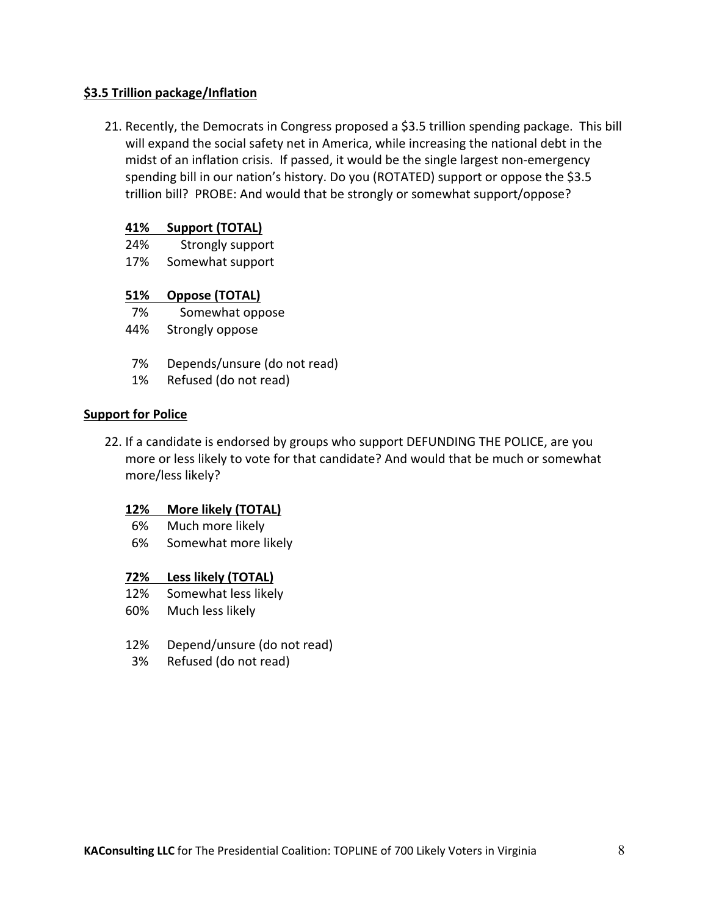## **\$3.5 Trillion package/Inflation**

21. Recently, the Democrats in Congress proposed a \$3.5 trillion spending package. This bill will expand the social safety net in America, while increasing the national debt in the midst of an inflation crisis. If passed, it would be the single largest non-emergency spending bill in our nation's history. Do you (ROTATED) support or oppose the \$3.5 trillion bill? PROBE: And would that be strongly or somewhat support/oppose?

## **41% Support (TOTAL)**

- 24% Strongly support
- 17% Somewhat support

## **51% Oppose (TOTAL)**

- 7% Somewhat oppose
- 44% Strongly oppose
- 7% Depends/unsure (do not read)
- 1% Refused (do not read)

## **Support for Police**

22. If a candidate is endorsed by groups who support DEFUNDING THE POLICE, are you more or less likely to vote for that candidate? And would that be much or somewhat more/less likely?

## **12% More likely (TOTAL)**

- 6% Much more likely
- 6% Somewhat more likely

## **72% Less likely (TOTAL)**

- 12% Somewhat less likely
- 60% Much less likely
- 12% Depend/unsure (do not read)
- 3% Refused (do not read)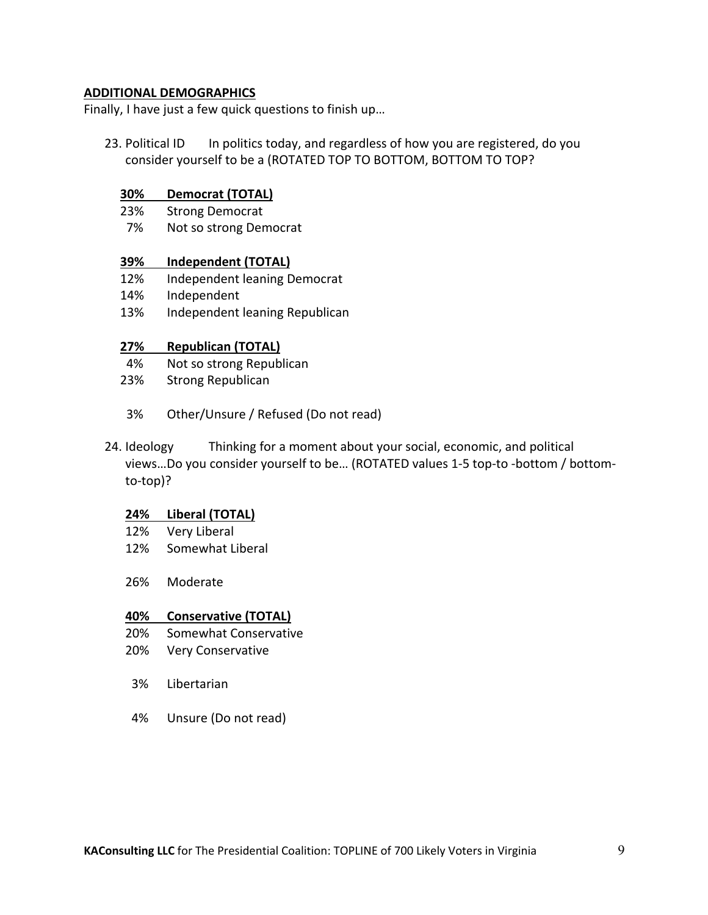### **ADDITIONAL DEMOGRAPHICS**

Finally, I have just a few quick questions to finish up…

23. Political ID In politics today, and regardless of how you are registered, do you consider yourself to be a (ROTATED TOP TO BOTTOM, BOTTOM TO TOP?

#### **30% Democrat (TOTAL)**

- 23% Strong Democrat
- 7% Not so strong Democrat

#### **39% Independent (TOTAL)**

- 12% Independent leaning Democrat
- 14% Independent
- 13% Independent leaning Republican

#### **27% Republican (TOTAL)**

- 4% Not so strong Republican
- 23% Strong Republican
- 3% Other/Unsure / Refused (Do not read)
- 24. Ideology Thinking for a moment about your social, economic, and political views…Do you consider yourself to be… (ROTATED values 1-5 top-to -bottom / bottomto-top)?

#### **24% Liberal (TOTAL)**

- 12% Very Liberal
- 12% Somewhat Liberal
- 26% Moderate

#### **40% Conservative (TOTAL)**

- 20% Somewhat Conservative
- 20% Very Conservative
- 3% Libertarian
- 4% Unsure (Do not read)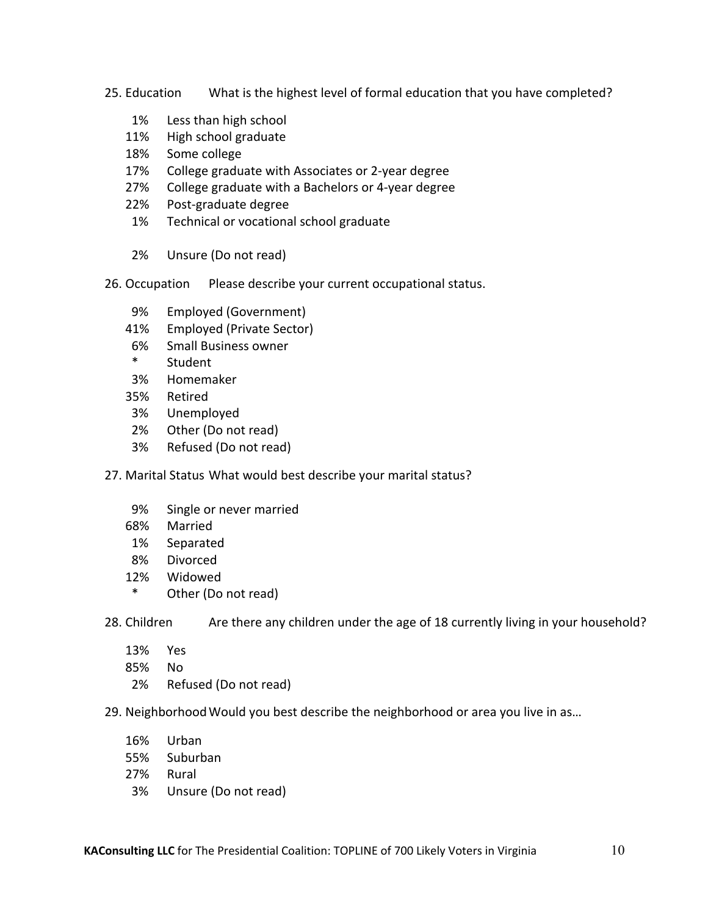25. Education What is the highest level of formal education that you have completed?

- 1% Less than high school
- 11% High school graduate
- 18% Some college
- 17% College graduate with Associates or 2-year degree
- 27% College graduate with a Bachelors or 4-year degree
- 22% Post-graduate degree
- 1% Technical or vocational school graduate
- 2% Unsure (Do not read)
- 26. Occupation Please describe your current occupational status.
	- 9% Employed (Government)
	- 41% Employed (Private Sector)
	- 6% Small Business owner
	- \* Student
	- 3% Homemaker
	- 35% Retired
	- 3% Unemployed
	- 2% Other (Do not read)
	- 3% Refused (Do not read)
- 27. Marital Status What would best describe your marital status?
	- 9% Single or never married
	- 68% Married
	- 1% Separated
	- 8% Divorced
	- 12% Widowed
	- \* Other (Do not read)

28. Children Are there any children under the age of 18 currently living in your household?

- 13% Yes
- 85% No
- 2% Refused (Do not read)

29. NeighborhoodWould you best describe the neighborhood or area you live in as…

- 16% Urban
- 55% Suburban
- 27% Rural
- 3% Unsure (Do not read)